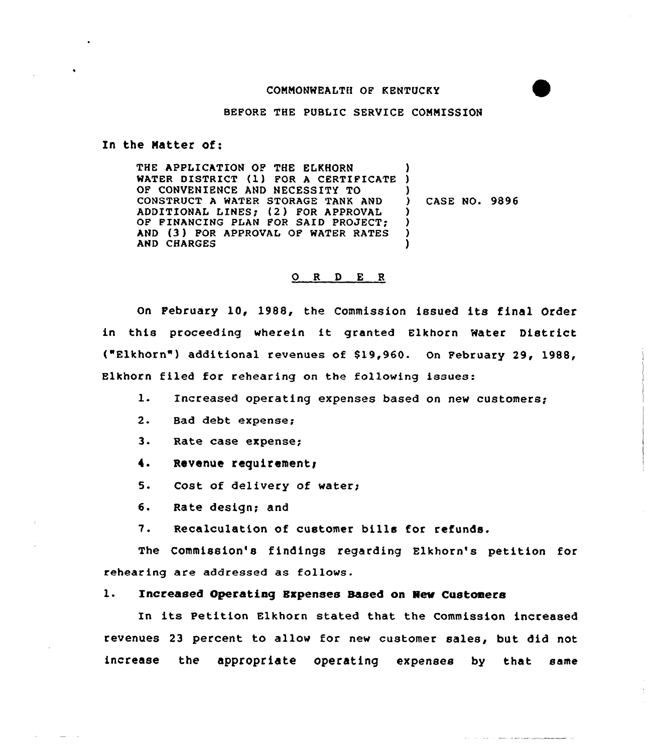## COMMONWEALTH OF KENTUCKY

## BEPORE THE PUBLIC SERVICE CONNISSION

#### In the Matter of:

THE APPLICATION OF THE ELKHQRN THE APPLICATION OF THE ELKHORN<br>WATER DISTRICT (1) FOR A CERTIFICATE ) OF CONVENIENCE AND NECESSITY TO CONSTRUCT A WATER STORAGE TANK AND ADDITIONAL LINES; (2) FOR APPROVAL OF FINANCING PLAN FOR SAID PROJECT; AND (3) FOR APPROVAL OF MATER RATES AND CHARGES ) ) ) CASE NO. 9896 ) ) ) )

### ORDER

On February 10, 1988, the Commission issued its final Order in this proceeding wherein it granted Elkhorn Water District ("Elkhorn") additional revenues of 819,960. On February 29, 1988, Elkhorn filed for rehearing on the following issues:

- l. Increased operating expenses based on new customers;
- 2. Bad debt expense<
- 3. Rate case expense;
- 4. Revenue requirement;
- 5. Cost of delivery of water;
- 6. Rate design; and
- 7. Recalculation of customer bills for refunds.

The Commission's findings regarding Elkhorn's petition for rehearing are addressed as follows.

## l. Increased Operating Expenses Based on New Custoners

In its Petition Elkhorn stated that the Commission increased revenues 23 percent to allow for new customer sales, but did not increase the appropriate operating expenses by that same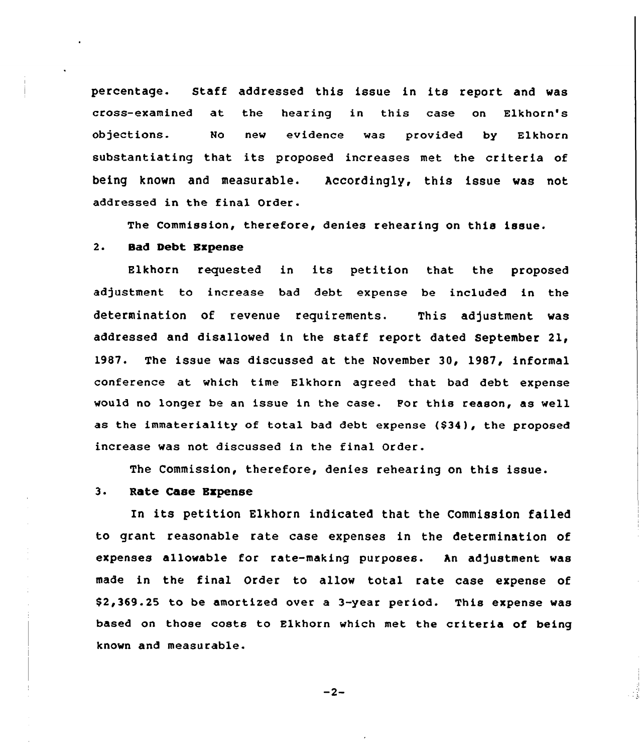percentage. Staff addressed this issue in its report and was cross-examined at the hearing in this case on Elkhorn's objections. No new evidence was provided by Elkhorn substantiating that its proposed increases met the criteria of being known and measurable. Accordingly, this issue was not addressed in the final Order.

The Commission, therefore, denies rehearing on this issue.

## 2. Sad Debt Expense

Elkhorn requested in its petition that the proposed adjustment to increase bad debt expense be included in the determination of revenue requirements. This adjustment was addressed and disallowed in the staff report dated September 21, 1987. The issue was discussed at the November 30, 1987, informal conference at which time Elkhorn agreed that bad debt expense would no longer be an issue in the case. For this reason, as well as the immateriality of total bad debt expense  $(934)$ , the proposed increase was not discussed in the final Order.

The Commission, therefore, denies rehearing on this issue.

# 3. Rate Case Expense

In its petition Elkhorn indicated that the Commission failed to grant reasonable rate case expenses in the determination of expenses allowable for rate-making purposes. An adjustment was made in the final Order to allow total rate case expense of \$ 2,369.25 to be amortized over a 3-year period. This expense was based on those costs to Elkhorn which met the criteria of being known and measurable.

 $-2-$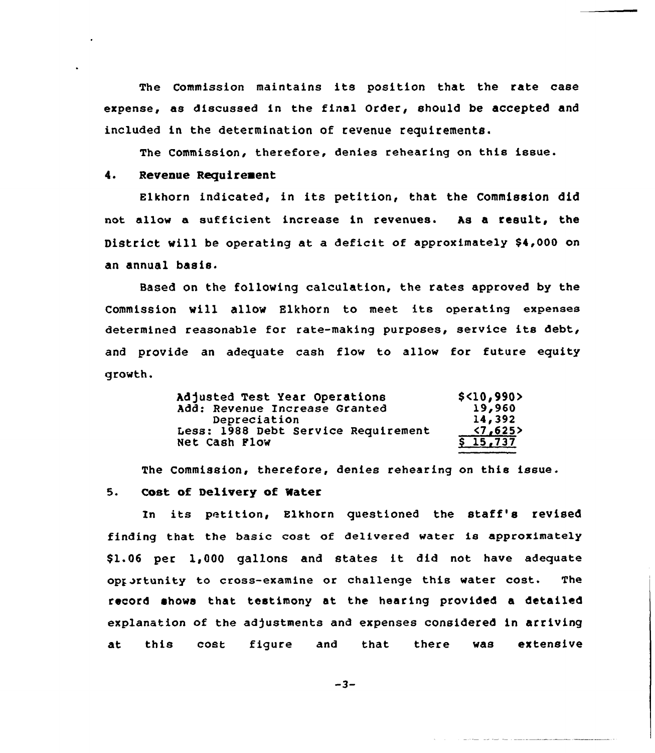The Commission maintains its position that the rate case expense, as discussed in the final Order, should be accepted and included in the determination of revenue requirements.

The Commission, therefore, denies rehearing on this issue.

# 4. Revenue Requirement

Elkhorn indicated, in its petition, that the Commission did not allow a sufficient increase in revenues. As a result, the District will be operating at a deficit of approximately \$4,000 on an annual basis.

Based on the following calculation, the rates approved by the Commission will allow Elkhorn to meet its operating expenses determined reasonable for rate-making purposes, service its debt, and provide an adequate cash flow to allow for future equity growth.

| Adjusted Test Year Operations       | \$<10,990>               |
|-------------------------------------|--------------------------|
| Add: Revenue Increase Granted       | 19,960                   |
| Depreciation                        | 14,392                   |
| Less: 1988 Debt Service Requirement | $\langle 7, 625 \rangle$ |
| Net Cash Flow                       | \$15,737                 |

The Commission, therefore, denies rehearing on this issue.

### 5. Cost of Delivery of Mater

Zn its petition, Elkhorn questioned the staff's revised finding that the basic cost of delivered water is approximately \$ 1.06 per 1,000 gallons and states it did not have adequate opportunity to cross-examine or challenge this water cost. The record shows that testimony at the hearing provided a detailed explanation of the adjustments and expenses considered in arriving at this cost figure and that there was <mark>ext</mark>en<mark>si</mark>v

 $-3-$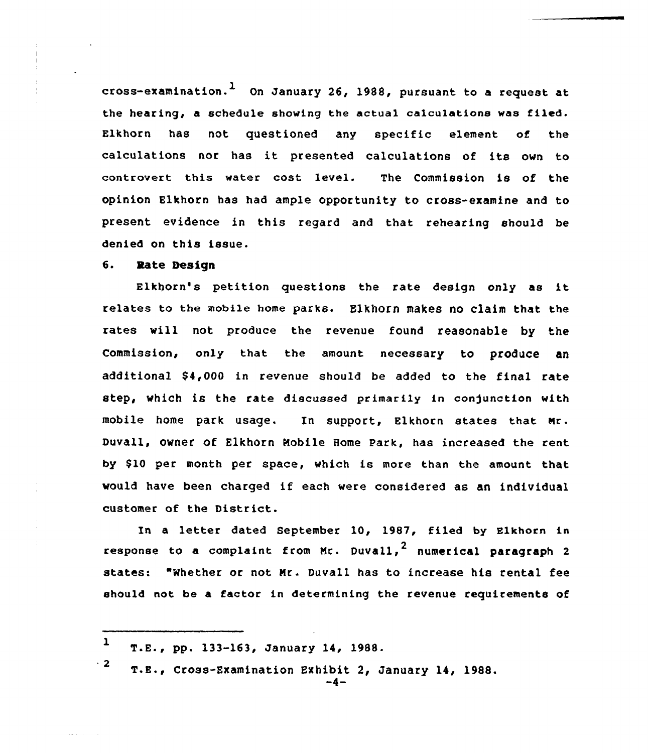cross-examination.<sup>1</sup> On January 26, 1988, pursuant to a request at the hearing, <sup>a</sup> schedule showing the actual ca1culatione wae filed. Elkhorn has not questioned any specific element of the calculations nor has it presented calculations of its own to controvert this water cost level. The Commission is of the opinion Elkhorn has had ample opportunity to cross-examine and to present evidence in this regard and that rehearing should be denied on this issue.

#### 6. Rate Design

Elkhorn's petition questions the rate design only as it relates to the mobile home parks. Elkhorn makes no claim that the rates vill not produce the revenue found reasonable by the Commission, only that the amount necessary to produce an additional 84,000 in revenue should be added to the final rate step, which is the rate discussed primarily in conjunction with mobile home park usage. In support, Elkhorn states that Nr. Duvall, owner of Elkhorn Mobile Home Park, has increased the rent by \$10 per month per space, which is more than the amount that would have been charged if each were considered as an individual customer of the District.

In a letter dated September 10, 1987, filed by Elkhorn in response to a complaint from Mr. Duvall,  $^2$  numerical paragraph 2 states: "Whether or not Mr. Duvall has to increase his rental fee should not be a factor in determining the revenue requirements of

 $1$  T.E., pp. 133-163, January 14, 1988.

 $\frac{1}{2}$  T.E., Cross-Examination Exhibit 2, January 14, 1988.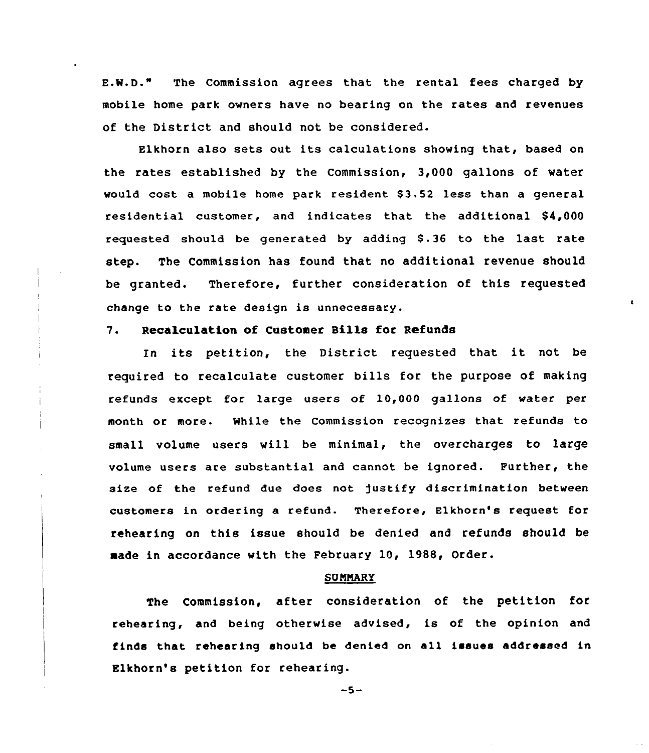E.W.D." The Commission agrees that the rental fees charged by mobile home park owners have no bearing on the rates and revenues of the District and should not be considered.

Elkhorn also sets out its calculations showing that, based on the rates established by the Commission, 3,000 gallons of water would cost a mobile home park resident \$3.52 less than a general residential customer, and indicates that the additional \$4,000 requested should be generated by adding \$.36 to the last rate step. The Commission has found that no additional revenue should be granted. Therefore, further consideration of this requested change to the rate design is unnecessary.

# 7. Recalculation of Customer Bills for Refunds

ln its petition, the District requested that it not be required to recalculate customer bills for the purpose of making refunds except for large users of 10,000 gallons of water per month or more. While the Commission recognizes that refunds to small volume users will be minimal, the overcharges to large volume users are substantial and cannot be ignored. Further, the size of the refund due does not justify discrimination between customers in ordering a refund. Therefore, Elkhorn's request for rehearing on this issue should be denied and refunds should be made in accordance with the February 10, 1988, Order.

#### **SUMMARY**

The Commission, after consideration of the petition for rehearing, and being otherwise advised, is of the opinion and finds that rehearing should be denied on all issues addressed in Elkhorn's petition for rehearing.

 $-5-$